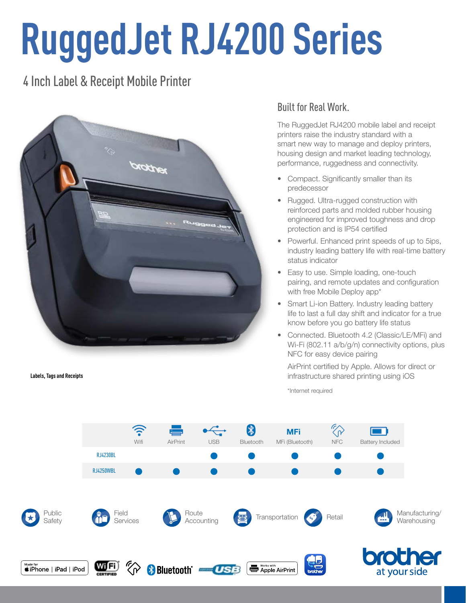# **RuggedJet RJ4200 Series**

4 Inch Label & Receipt Mobile Printer



# Built for Real Work.

The RuggedJet RJ4200 mobile label and receipt printers raise the industry standard with a smart new way to manage and deploy printers, housing design and market leading technology, performance, ruggedness and connectivity.

- Compact. Significantly smaller than its predecessor
- Rugged. Ultra-rugged construction with reinforced parts and molded rubber housing engineered for improved toughness and drop protection and is IP54 certified
- Powerful. Enhanced print speeds of up to 5ips, industry leading battery life with real-time battery status indicator
- Easy to use. Simple loading, one-touch pairing, and remote updates and configuration with free Mobile Deploy app<sup>\*</sup>
- Smart Li-ion Battery. Industry leading battery life to last a full day shift and indicator for a true know before you go battery life status
- Connected. Bluetooth 4.2 (Classic/LE/MFi) and Wi-Fi (802.11 a/b/g/n) connectivity options, plus NFC for easy device pairing

AirPrint certified by Apple. Allows for direct or **Labels, Tags and Receipts** infrastructure shared printing using iOS

\*Internet required